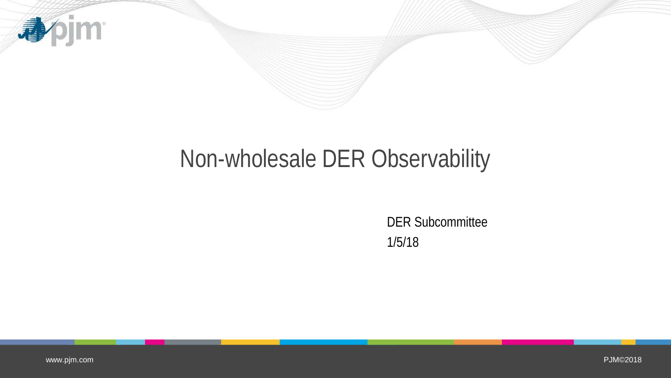

# Non-wholesale DER Observability

DER Subcommittee 1/5/18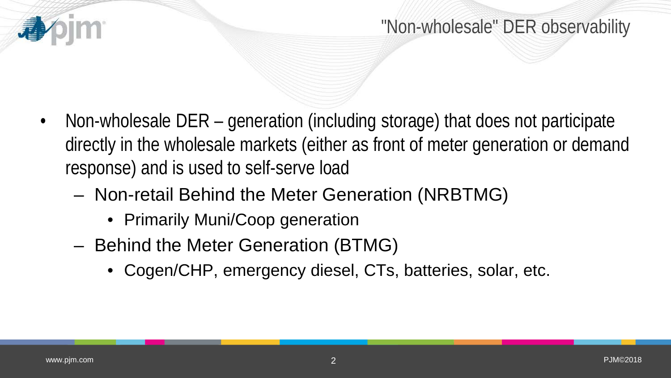

- Non-wholesale DER generation (including storage) that does not participate directly in the wholesale markets (either as front of meter generation or demand response) and is used to self-serve load
	- Non-retail Behind the Meter Generation (NRBTMG)
		- Primarily Muni/Coop generation
	- Behind the Meter Generation (BTMG)
		- Cogen/CHP, emergency diesel, CTs, batteries, solar, etc.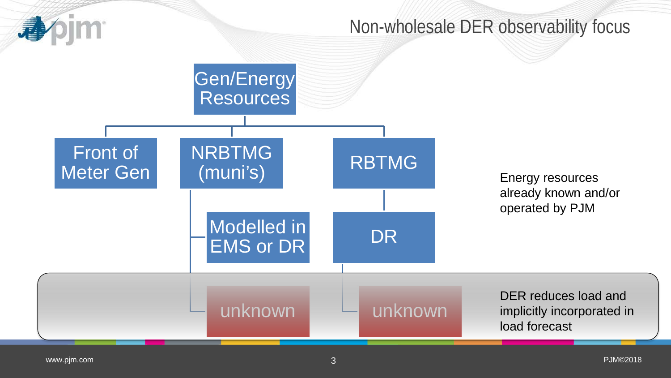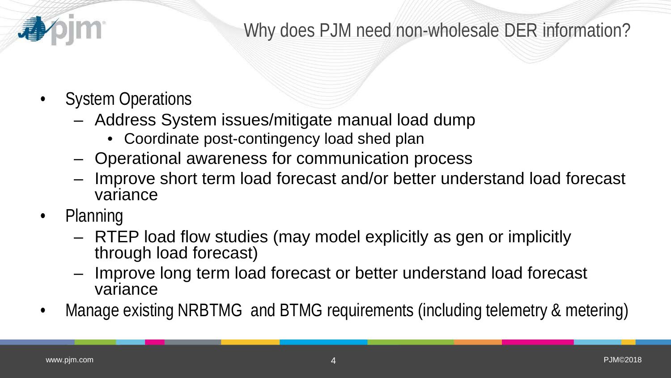

# Why does PJM need non-wholesale DER information?

- System Operations
	- Address System issues/mitigate manual load dump
		- Coordinate post-contingency load shed plan
	- Operational awareness for communication process
	- Improve short term load forecast and/or better understand load forecast variance
- Planning
	- RTEP load flow studies (may model explicitly as gen or implicitly through load forecast)
	- Improve long term load forecast or better understand load forecast variance
- Manage existing NRBTMG and BTMG requirements (including telemetry & metering)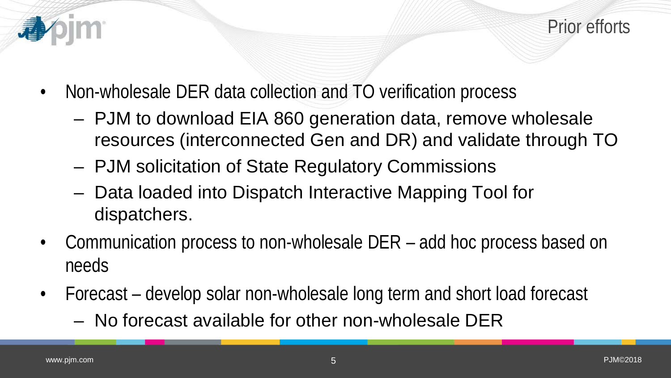

Prior efforts

- Non-wholesale DER data collection and TO verification process
	- PJM to download EIA 860 generation data, remove wholesale resources (interconnected Gen and DR) and validate through TO
	- PJM solicitation of State Regulatory Commissions
	- Data loaded into Dispatch Interactive Mapping Tool for dispatchers.
- Communication process to non-wholesale DER add hoc process based on needs
- Forecast develop solar non-wholesale long term and short load forecast
	- No forecast available for other non-wholesale DER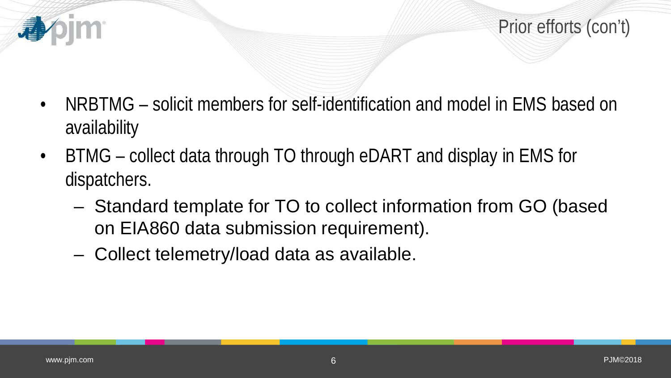

- NRBTMG solicit members for self-identification and model in EMS based on availability
- BTMG collect data through TO through eDART and display in EMS for dispatchers.
	- Standard template for TO to collect information from GO (based on EIA860 data submission requirement).
	- Collect telemetry/load data as available.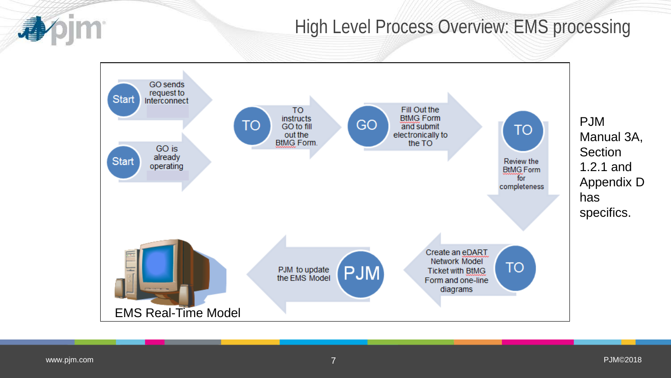### High Level Process Overview: EMS processing



Manual 3A, **Section** 1.2.1 and Appendix D specifics.

pim<sup>-</sup>

尋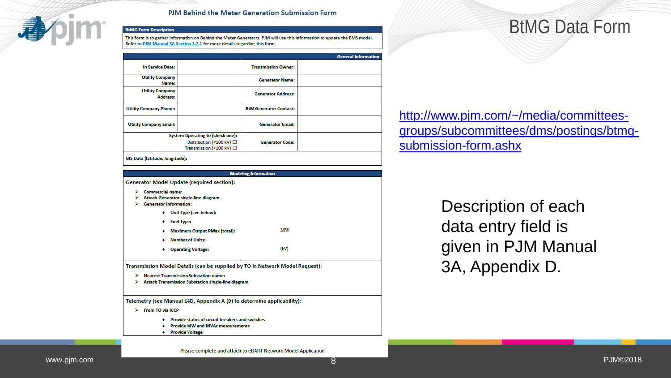

#### PJM Behind the Meter Generation Submission Form

**BtMG Form Description** 

This form is to gather information on Behind the Meter Generators. PJM will use this information to update the EMS model. Refer to PJM Manual 3A Section 1.2.1 for more details regarding this form.

|                                           |  |                               | <b>General Information</b> |
|-------------------------------------------|--|-------------------------------|----------------------------|
| <b>In Service Date:</b>                   |  | <b>Transmission Owner:</b>    |                            |
| <b>Utility Company</b><br>Name:           |  | <b>Generator Name:</b>        |                            |
| <b>Utility Company</b><br><b>Address:</b> |  | <b>Generator Address:</b>     |                            |
| <b>Utility Company Phone:</b>             |  | <b>BtM Generator Contact:</b> |                            |
| <b>Utility Company Email:</b>             |  | <b>Generator Email:</b>       |                            |
| <b>System Operating to (check one):</b>   |  |                               |                            |
| Distribution (<100 kV) □                  |  | <b>Generator Code:</b>        |                            |
| Transmission (>100 kV) □                  |  |                               |                            |

**Modeling Information Generator Model Update (required section): Commercial name:** Attach Generator single-line diagram ⋗  $\triangleright$  Generator Information: • Unit Type (see below): + Fuel Type: MW + Maximum Output PMax (total): • Number of Units: + Operating Voltage:  $(kV)$ Transmission Model Details (can be supplied by TO in Network Model Request): > Nearest Transmission Substation name: > Attach Transmission Substation single-line diagram Telemetry (see Manual 14D, Appendix A (9) to determine applicability):  $\triangleright$  From TO via ICCP ♦ Provide status of circuit breakers and switches • Provide MW and MVAr measurements • Provide Voltage

## BtMG Data Form

[http://www.pjm.com/~/media/committees](http://www.pjm.com/%7E/media/committees-groups/subcommittees/dms/postings/btmg-submission-form.ashx)[groups/subcommittees/dms/postings/btmg](http://www.pjm.com/%7E/media/committees-groups/subcommittees/dms/postings/btmg-submission-form.ashx)[submission-form.ashx](http://www.pjm.com/%7E/media/committees-groups/subcommittees/dms/postings/btmg-submission-form.ashx)

> Description of each data entry field is given in PJM Manual 3A, Appendix D.

Please complete and attach to eDART Network Model Application